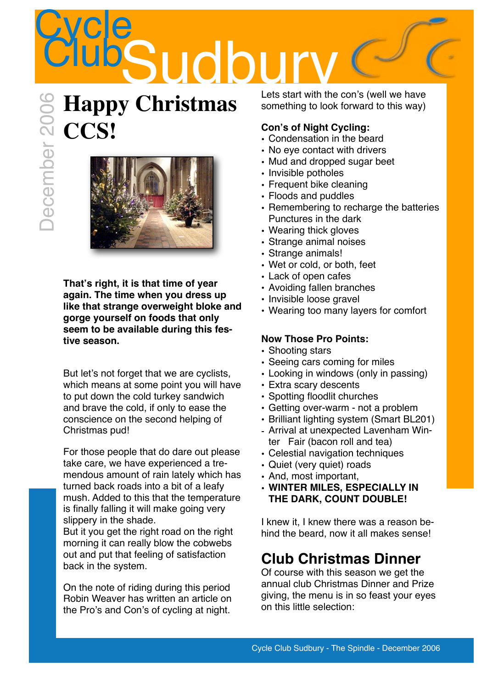## **Cycle Sudb**

# **Happy Christmas CONSERVERENCE** December 2006



**That's right, it is that time of year again. The time when you dress up like that strange overweight bloke and gorge yourself on foods that only seem to be available during this festive season.**

But let's not forget that we are cyclists, which means at some point you will have to put down the cold turkey sandwich and brave the cold, if only to ease the conscience on the second helping of Christmas pud!

For those people that do dare out please take care, we have experienced a tremendous amount of rain lately which has turned back roads into a bit of a leafy mush. Added to this that the temperature is finally falling it will make going very slippery in the shade.

But it you get the right road on the right morning it can really blow the cobwebs out and put that feeling of satisfaction back in the system.

On the note of riding during this period Robin Weaver has written an article on the Pro's and Con's of cycling at night.

Lets start with the con's (well we have something to look forward to this way)

## **Con's of Night Cycling:**

- Condensation in the beard
- No eye contact with drivers
- Mud and dropped sugar beet
- Invisible potholes
- Frequent bike cleaning
- Floods and puddles
- Remembering to recharge the batteries Punctures in the dark
- Wearing thick gloves
- Strange animal noises
- Strange animals!
- Wet or cold, or both, feet
- Lack of open cafes
- Avoiding fallen branches
- Invisible loose gravel
- Wearing too many layers for comfort

## **Now Those Pro Points:**

- Shooting stars
- Seeing cars coming for miles
- Looking in windows (only in passing)
- Extra scary descents
- Spotting floodlit churches
- Getting over-warm not a problem
- Brilliant lighting system (Smart BL201)
- Arrival at unexpected Lavenham Winter Fair (bacon roll and tea)
- Celestial navigation techniques
- Quiet (very quiet) roads
- And, most important,
- **WINTER MILES, ESPECIALLY IN THE DARK, COUNT DOUBLE!**

I knew it, I knew there was a reason behind the beard, now it all makes sense!

## **Club Christmas Dinner**

Of course with this season we get the annual club Christmas Dinner and Prize giving, the menu is in so feast your eyes on this little selection: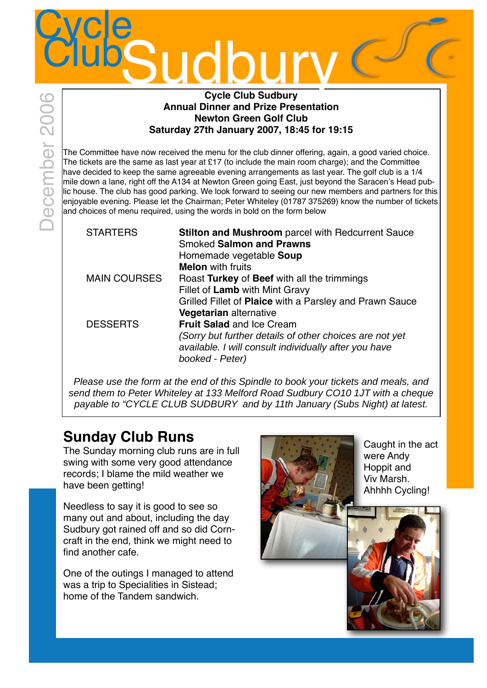#### **Cycle Club Sudbury Annual Dinner and Prize Presentation Newton Green Golf Club Saturday 27th January 2007, 18:45 for 19:15**

The Committee have now received the menu for the club dinner offering, again, a good varied choice. The tickets are the same as last year at £17 (to include the main room charge); and the Committee have decided to keep the same agreeable evening arrangements as last year. The golf club is a 1/4 mile down a lane, right off the A134 at Newton Green going East, just beyond the Saracen's Head public house. The club has good parking. We look forward to seeing our new members and partners for this enjoyable evening. Please let the Chairman; Peter Whiteley (01787 375269) know the number of tickets land choices of menu required, using the words in bold on the form below

| <b>STARTERS</b>     | <b>Stilton and Mushroom</b> parcel with Redcurrent Sauce<br><b>Smoked Salmon and Prawns</b><br>Homemade vegetable Soup<br><b>Melon</b> with fruits                      |
|---------------------|-------------------------------------------------------------------------------------------------------------------------------------------------------------------------|
| <b>MAIN COURSES</b> | Roast Turkey of Beef with all the trimmings<br>Fillet of Lamb with Mint Gravy<br>Grilled Fillet of Plaice with a Parsley and Prawn Sauce<br>Vegetarian alternative      |
| <b>DESSERTS</b>     | <b>Fruit Salad and Ice Cream</b><br>(Sorry but further details of other choices are not yet<br>available. I will consult individually after you have<br>booked - Peter) |

Please use the form at the end of this Spindle to book your tickets and meals, and send them to Peter Whiteley at 133 Melford Road Sudbury CO10 1JT with a cheque payable to "CYCLE CLUB SUDBURY and by 11th January (Subs Night) at latest.

## **Sunday Club Runs**

The Sunday morning club runs are in full swing with some very good attendance records; I blame the mild weather we have been getting!

Needless to say it is good to see so many out and about, including the day Sudbury got rained off and so did Corncraft in the end, think we might need to find another cafe.

One of the outings I managed to attend was a trip to Specialities in Sistead; home of the Tandem sandwich.



Caught in the act were Andy Hoppit and Viv Marsh. Ahhhh Cycling!